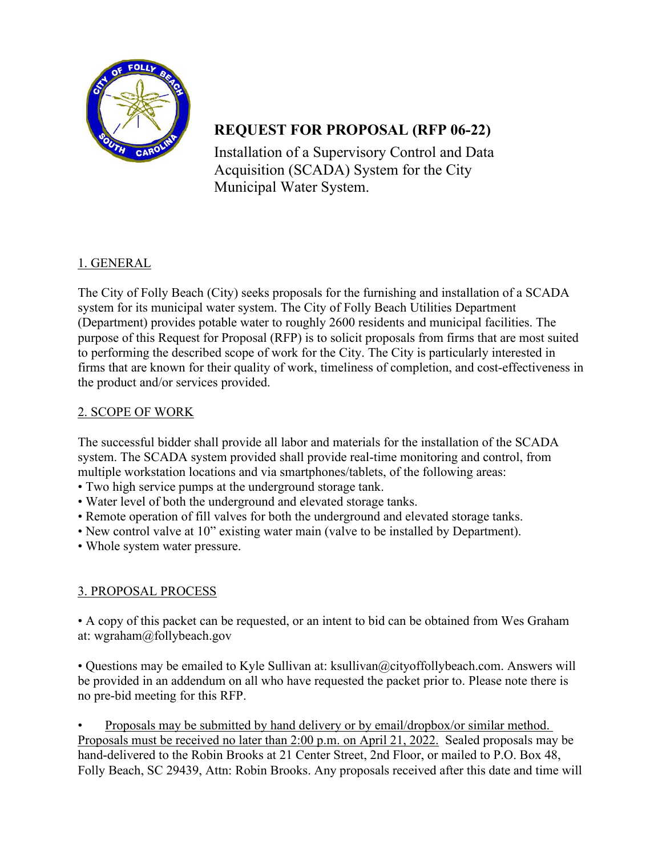

# **REQUEST FOR PROPOSAL (RFP 06-22)**

Installation of a Supervisory Control and Data Acquisition (SCADA) System for the City Municipal Water System.

# 1. GENERAL

The City of Folly Beach (City) seeks proposals for the furnishing and installation of a SCADA system for its municipal water system. The City of Folly Beach Utilities Department (Department) provides potable water to roughly 2600 residents and municipal facilities. The purpose of this Request for Proposal (RFP) is to solicit proposals from firms that are most suited to performing the described scope of work for the City. The City is particularly interested in firms that are known for their quality of work, timeliness of completion, and cost-effectiveness in the product and/or services provided.

### 2. SCOPE OF WORK

The successful bidder shall provide all labor and materials for the installation of the SCADA system. The SCADA system provided shall provide real-time monitoring and control, from multiple workstation locations and via smartphones/tablets, of the following areas:

- Two high service pumps at the underground storage tank.
- Water level of both the underground and elevated storage tanks.
- Remote operation of fill valves for both the underground and elevated storage tanks.
- New control valve at 10" existing water main (valve to be installed by Department).
- Whole system water pressure.

# 3. PROPOSAL PROCESS

• A copy of this packet can be requested, or an intent to bid can be obtained from Wes Graham at: wgraham@follybeach.gov

• Questions may be emailed to Kyle Sullivan at: ksullivan@cityoffollybeach.com. Answers will be provided in an addendum on all who have requested the packet prior to. Please note there is no pre-bid meeting for this RFP.

• Proposals may be submitted by hand delivery or by email/dropbox/or similar method. Proposals must be received no later than 2:00 p.m. on April 21, 2022. Sealed proposals may be hand-delivered to the Robin Brooks at 21 Center Street, 2nd Floor, or mailed to P.O. Box 48, Folly Beach, SC 29439, Attn: Robin Brooks. Any proposals received after this date and time will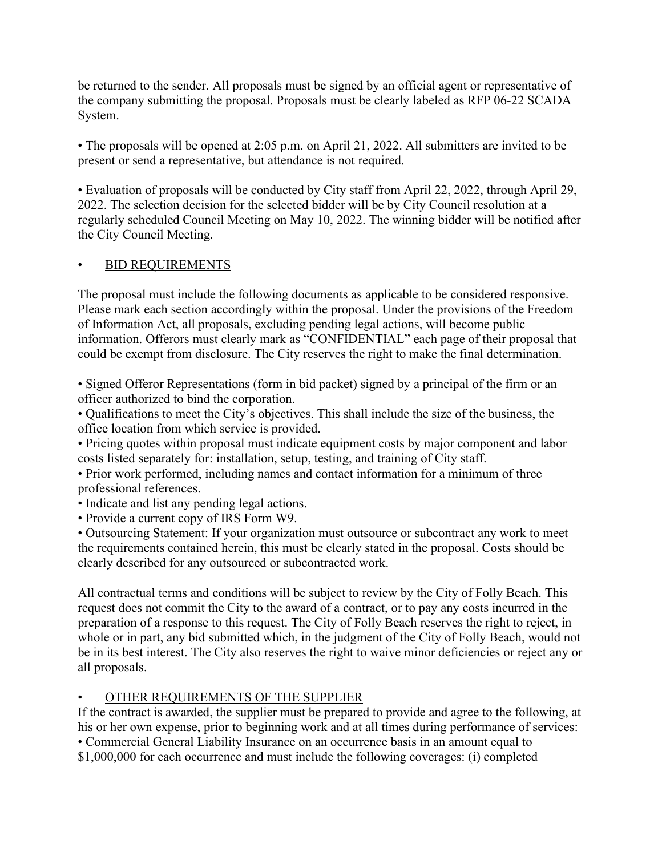be returned to the sender. All proposals must be signed by an official agent or representative of the company submitting the proposal. Proposals must be clearly labeled as RFP 06-22 SCADA System.

• The proposals will be opened at 2:05 p.m. on April 21, 2022. All submitters are invited to be present or send a representative, but attendance is not required.

• Evaluation of proposals will be conducted by City staff from April 22, 2022, through April 29, 2022. The selection decision for the selected bidder will be by City Council resolution at a regularly scheduled Council Meeting on May 10, 2022. The winning bidder will be notified after the City Council Meeting.

### • BID REQUIREMENTS

The proposal must include the following documents as applicable to be considered responsive. Please mark each section accordingly within the proposal. Under the provisions of the Freedom of Information Act, all proposals, excluding pending legal actions, will become public information. Offerors must clearly mark as "CONFIDENTIAL" each page of their proposal that could be exempt from disclosure. The City reserves the right to make the final determination.

• Signed Offeror Representations (form in bid packet) signed by a principal of the firm or an officer authorized to bind the corporation.

• Qualifications to meet the City's objectives. This shall include the size of the business, the office location from which service is provided.

• Pricing quotes within proposal must indicate equipment costs by major component and labor costs listed separately for: installation, setup, testing, and training of City staff.

• Prior work performed, including names and contact information for a minimum of three professional references.

• Indicate and list any pending legal actions.

• Provide a current copy of IRS Form W9.

• Outsourcing Statement: If your organization must outsource or subcontract any work to meet the requirements contained herein, this must be clearly stated in the proposal. Costs should be clearly described for any outsourced or subcontracted work.

All contractual terms and conditions will be subject to review by the City of Folly Beach. This request does not commit the City to the award of a contract, or to pay any costs incurred in the preparation of a response to this request. The City of Folly Beach reserves the right to reject, in whole or in part, any bid submitted which, in the judgment of the City of Folly Beach, would not be in its best interest. The City also reserves the right to waive minor deficiencies or reject any or all proposals.

### • OTHER REQUIREMENTS OF THE SUPPLIER

If the contract is awarded, the supplier must be prepared to provide and agree to the following, at his or her own expense, prior to beginning work and at all times during performance of services: • Commercial General Liability Insurance on an occurrence basis in an amount equal to \$1,000,000 for each occurrence and must include the following coverages: (i) completed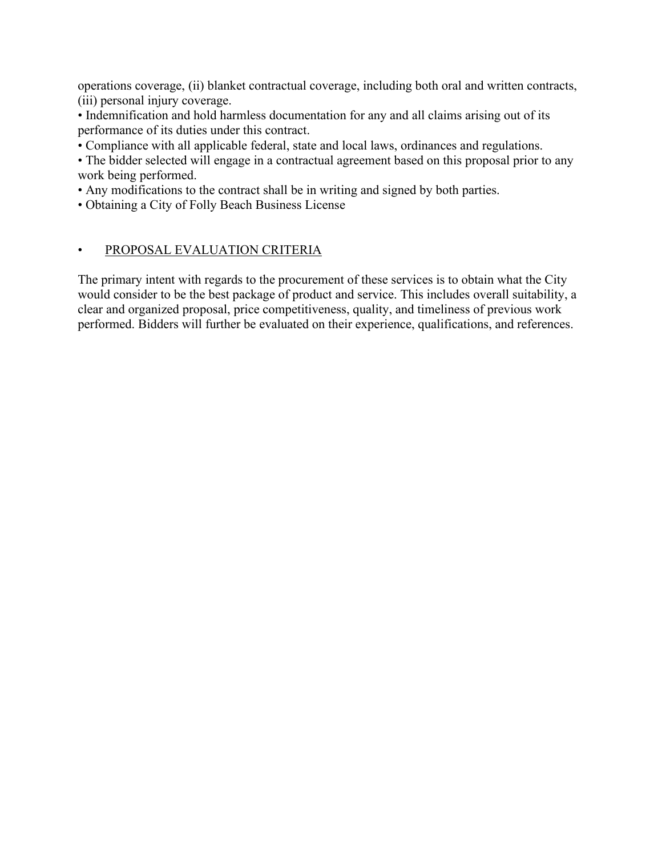operations coverage, (ii) blanket contractual coverage, including both oral and written contracts, (iii) personal injury coverage.

• Indemnification and hold harmless documentation for any and all claims arising out of its performance of its duties under this contract.

• Compliance with all applicable federal, state and local laws, ordinances and regulations.

• The bidder selected will engage in a contractual agreement based on this proposal prior to any work being performed.

• Any modifications to the contract shall be in writing and signed by both parties.

• Obtaining a City of Folly Beach Business License

### • PROPOSAL EVALUATION CRITERIA

The primary intent with regards to the procurement of these services is to obtain what the City would consider to be the best package of product and service. This includes overall suitability, a clear and organized proposal, price competitiveness, quality, and timeliness of previous work performed. Bidders will further be evaluated on their experience, qualifications, and references.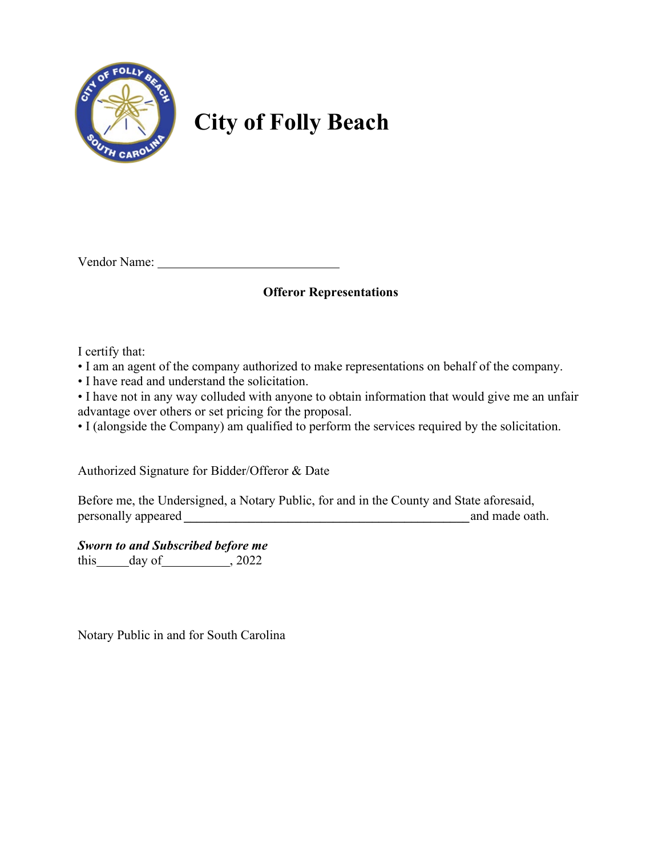

# **City of Folly Beach**

Vendor Name:

### **Offeror Representations**

I certify that:

• I am an agent of the company authorized to make representations on behalf of the company.

• I have read and understand the solicitation.

• I have not in any way colluded with anyone to obtain information that would give me an unfair advantage over others or set pricing for the proposal.

• I (alongside the Company) am qualified to perform the services required by the solicitation.

Authorized Signature for Bidder/Offeror & Date

Before me, the Undersigned, a Notary Public, for and in the County and State aforesaid, personally appeared *a* and made oath.

*Sworn to and Subscribed before me*

this day of , 2022

Notary Public in and for South Carolina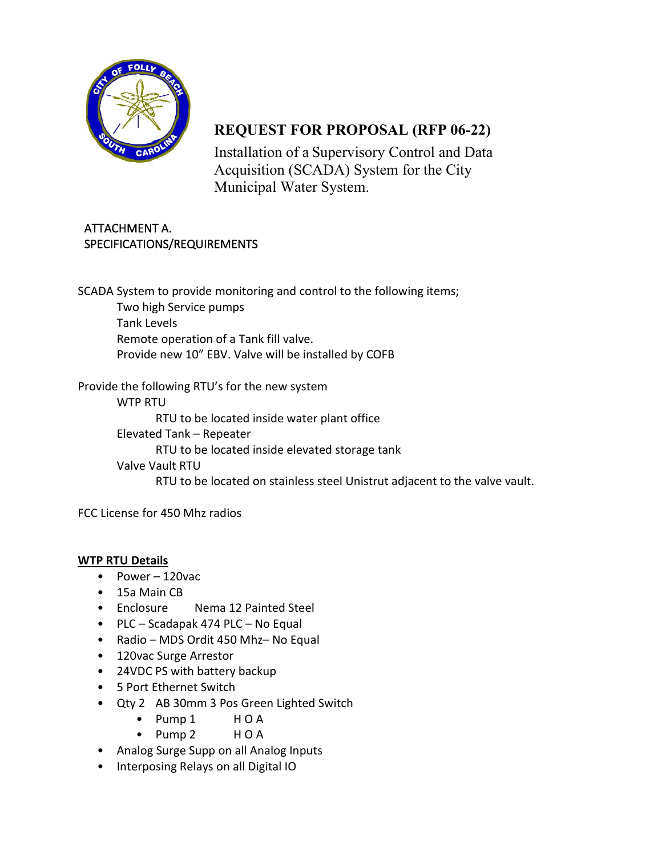

# **REQUEST FOR PROPOSAL (RFP 06-22)**

Installation of a Supervisory Control and Data Acquisition (SCADA) System for the City Municipal Water System.

## ATTACHMENT A. SPECIFICATIONS/REQUIREMENTS

SCADA System to provide monitoring and control to the following items; Two high Service pumps Tank Levels Remote operation of a Tank fill valve. Provide new 10" EBV. Valve will be installed by COFB

Provide the following RTU's for the new system WTP RTU RTU to be located inside water plant office Elevated Tank – Repeater RTU to be located inside elevated storage tank Valve Vault RTU RTU to be located on stainless steel Unistrut adjacent to the valve vault.

FCC License for 450 Mhz radios

### **WTP RTU Details**

- Power 120vac
- 15a Main CB
- Enclosure Nema 12 Painted Steel
- PLC Scadapak 474 PLC No Equal
- Radio MDS Ordit 450 Mhz– No Equal
- 120vac Surge Arrestor
- 24VDC PS with battery backup
- 5 Port Ethernet Switch
- Qty 2 AB 30mm 3 Pos Green Lighted Switch
	- Pump 1 H O A
	- Pump 2 H O A
- Analog Surge Supp on all Analog Inputs
- Interposing Relays on all Digital IO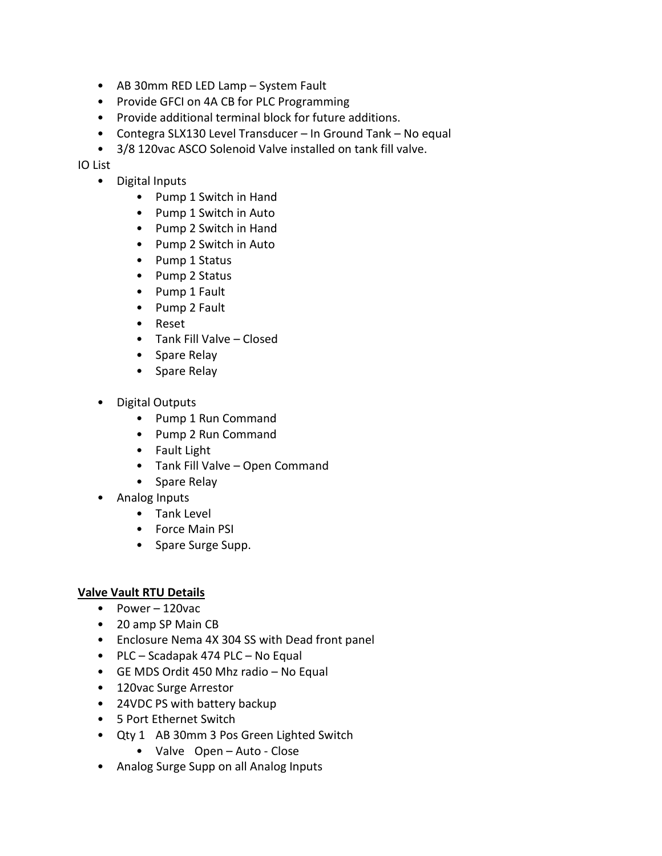- AB 30mm RED LED Lamp System Fault
- Provide GFCI on 4A CB for PLC Programming
- Provide additional terminal block for future additions.
- Contegra SLX130 Level Transducer In Ground Tank No equal
- 3/8 120vac ASCO Solenoid Valve installed on tank fill valve.

IO List

- Digital Inputs
	- Pump 1 Switch in Hand
	- Pump 1 Switch in Auto
	- Pump 2 Switch in Hand
	- Pump 2 Switch in Auto
	- Pump 1 Status
	- Pump 2 Status
	- Pump 1 Fault
	- Pump 2 Fault
	- Reset
	- Tank Fill Valve Closed
	- Spare Relay
	- Spare Relay
- Digital Outputs
	- Pump 1 Run Command
	- Pump 2 Run Command
	- Fault Light
	- Tank Fill Valve Open Command
	- Spare Relay
- Analog Inputs
	- Tank Level
	- Force Main PSI
	- Spare Surge Supp.

#### **Valve Vault RTU Details**

- Power 120vac
- 20 amp SP Main CB
- Enclosure Nema 4X 304 SS with Dead front panel
- PLC Scadapak 474 PLC No Equal
- GE MDS Ordit 450 Mhz radio No Equal
- 120vac Surge Arrestor
- 24VDC PS with battery backup
- 5 Port Ethernet Switch
- Qty 1 AB 30mm 3 Pos Green Lighted Switch
	- Valve Open Auto Close
- Analog Surge Supp on all Analog Inputs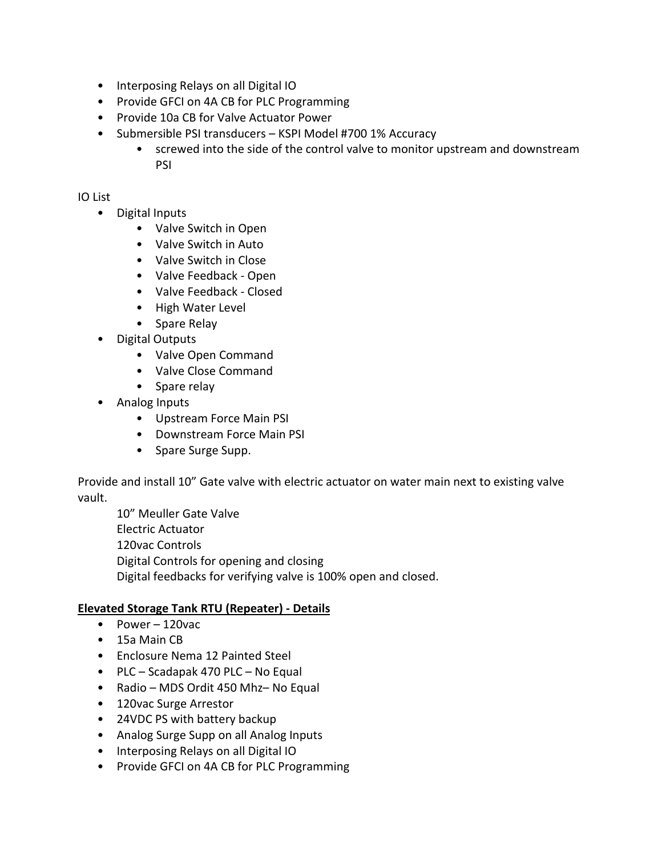- Interposing Relays on all Digital IO
- Provide GFCI on 4A CB for PLC Programming
- Provide 10a CB for Valve Actuator Power
- Submersible PSI transducers KSPI Model #700 1% Accuracy
	- screwed into the side of the control valve to monitor upstream and downstream PSI

### IO List

- Digital Inputs
	- Valve Switch in Open
	- Valve Switch in Auto
	- Valve Switch in Close
	- Valve Feedback Open
	- Valve Feedback Closed
	- High Water Level
	- Spare Relay
- Digital Outputs
	- Valve Open Command
	- Valve Close Command
	- Spare relay
- Analog Inputs
	- Upstream Force Main PSI
	- Downstream Force Main PSI
	- Spare Surge Supp.

Provide and install 10" Gate valve with electric actuator on water main next to existing valve vault.

10" Meuller Gate Valve Electric Actuator 120vac Controls Digital Controls for opening and closing Digital feedbacks for verifying valve is 100% open and closed.

### **Elevated Storage Tank RTU (Repeater) - Details**

- Power 120vac
- 15a Main CB
- Enclosure Nema 12 Painted Steel
- PLC Scadapak 470 PLC No Equal
- Radio MDS Ordit 450 Mhz– No Equal
- 120vac Surge Arrestor
- 24VDC PS with battery backup
- Analog Surge Supp on all Analog Inputs
- Interposing Relays on all Digital IO
- Provide GFCI on 4A CB for PLC Programming